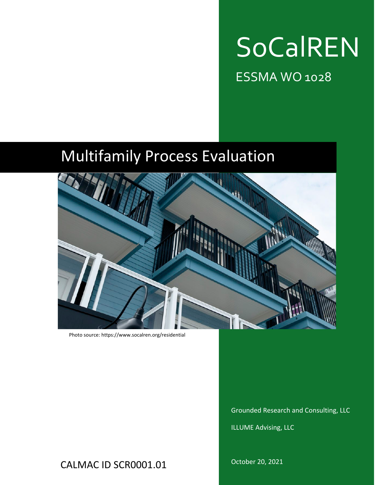

ESSMA WO 1028

# Multifamily Process Evaluation



Photo source: https://www.socalren.org/residential

Grounded Research and Consulting, LLC

ILLUME Advising, LLC

CALMAC ID SCR0001.01

October 20, 2021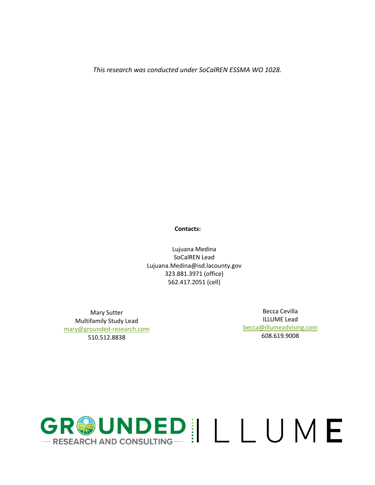*This research was conducted under SoCalREN ESSMA WO 1028.*

#### **Contacts:**

Lujuana Medina SoCalREN Lead [Lujuana.Medina@isd.lacounty.gov](mailto:Lujuana.Medina@isd.lacounty.gov) 323.881.3971 (office) 562.417.2051 (cell)

Mary Sutter Multifamily Study Lead [mary@grounded-research.com](mailto:mary@grounded-research.com) 510.512.8838

Becca Cevilla ILLUME Lead [becca@illumeadvising.com](mailto:becca@illumeadvising.com) 608.619.9008

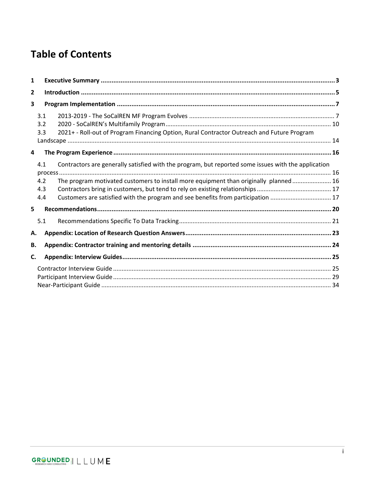## **Table of Contents**

| 1  |                          |                                                                                                                                                                                                                                                                                 |  |  |  |  |
|----|--------------------------|---------------------------------------------------------------------------------------------------------------------------------------------------------------------------------------------------------------------------------------------------------------------------------|--|--|--|--|
| 2  |                          |                                                                                                                                                                                                                                                                                 |  |  |  |  |
| 3  |                          |                                                                                                                                                                                                                                                                                 |  |  |  |  |
|    | 3.1<br>3.2<br>3.3        | 2021+ - Roll-out of Program Financing Option, Rural Contractor Outreach and Future Program                                                                                                                                                                                      |  |  |  |  |
| 4  |                          |                                                                                                                                                                                                                                                                                 |  |  |  |  |
|    | 4.1<br>4.2<br>4.3<br>4.4 | Contractors are generally satisfied with the program, but reported some issues with the application<br>The program motivated customers to install more equipment than originally planned 16<br>Customers are satisfied with the program and see benefits from participation  17 |  |  |  |  |
| 5  |                          |                                                                                                                                                                                                                                                                                 |  |  |  |  |
| А. | 5.1                      |                                                                                                                                                                                                                                                                                 |  |  |  |  |
| В. |                          |                                                                                                                                                                                                                                                                                 |  |  |  |  |
| C. |                          |                                                                                                                                                                                                                                                                                 |  |  |  |  |
|    |                          |                                                                                                                                                                                                                                                                                 |  |  |  |  |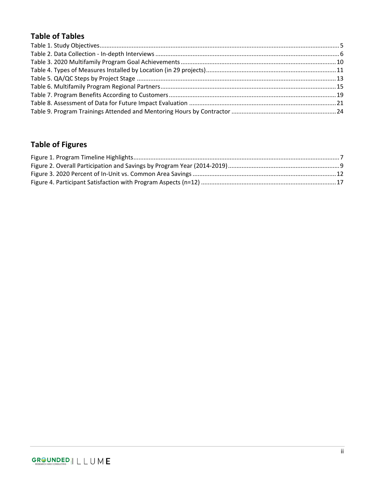## **Table of Tables**

## **Table of Figures**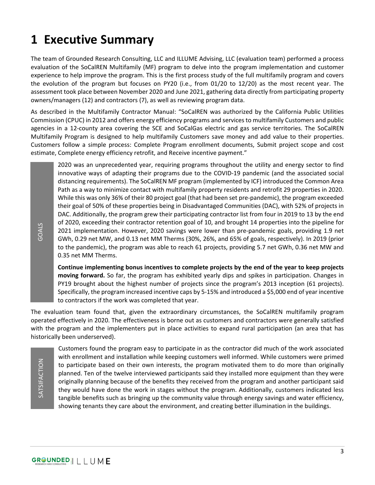## <span id="page-4-0"></span>**1 Executive Summary**

The team of Grounded Research Consulting, LLC and ILLUME Advising, LLC (evaluation team) performed a process evaluation of the SoCalREN Multifamily (MF) program to delve into the program implementation and customer experience to help improve the program. This is the first process study of the full multifamily program and covers the evolution of the program but focuses on PY20 (i.e., from 01/20 to 12/20) as the most recent year. The assessment took place between November 2020 and June 2021, gathering data directly from participating property owners/managers (12) and contractors (7), as well as reviewing program data.

As described in the Multifamily Contractor Manual: "SoCalREN was authorized by the California Public Utilities Commission (CPUC) in 2012 and offers energy efficiency programs and services to multifamily Customers and public agencies in a 12-county area covering the SCE and SoCalGas electric and gas service territories. The SoCalREN Multifamily Program is designed to help multifamily Customers save money and add value to their properties. Customers follow a simple process: Complete Program enrollment documents, Submit project scope and cost estimate, Complete energy efficiency retrofit, and Receive incentive payment."

2020 was an unprecedented year, requiring programs throughout the utility and energy sector to find innovative ways of adapting their programs due to the COVID-19 pandemic (and the associated social distancing requirements). The SoCalREN MF program (implemented by ICF) introduced the Common Area Path as a way to minimize contact with multifamily property residents and retrofit 29 properties in 2020. While this was only 36% of their 80 project goal (that had been set pre-pandemic), the program exceeded their goal of 50% of these properties being in Disadvantaged Communities (DAC), with 52% of projects in DAC. Additionally, the program grew their participating contractor list from four in 2019 to 13 by the end of 2020, exceeding their contractor retention goal of 10, and brought 14 properties into the pipeline for 2021 implementation. However, 2020 savings were lower than pre-pandemic goals, providing 1.9 net GWh, 0.29 net MW, and 0.13 net MM Therms (30%, 26%, and 65% of goals, respectively). In 2019 (prior to the pandemic), the program was able to reach 61 projects, providing 5.7 net GWh, 0.36 net MW and 0.35 net MM Therms.

**Continue implementing bonus incentives to complete projects by the end of the year to keep projects moving forward.** So far, the program has exhibited yearly dips and spikes in participation. Changes in PY19 brought about the highest number of projects since the program's 2013 inception (61 projects). Specifically, the program increased incentive caps by 5-15% and introduced a \$5,000 end of year incentive to contractors if the work was completed that year.

The evaluation team found that, given the extraordinary circumstances, the SoCalREN multifamily program operated effectively in 2020. The effectiveness is borne out as customers and contractors were generally satisfied with the program and the implementers put in place activities to expand rural participation (an area that has historically been underserved).

SATSIFACTION SATSIFACTION

Customers found the program easy to participate in as the contractor did much of the work associated with enrollment and installation while keeping customers well informed. While customers were primed to participate based on their own interests, the program motivated them to do more than originally planned. Ten of the twelve interviewed participants said they installed more equipment than they were originally planning because of the benefits they received from the program and another participant said they would have done the work in stages without the program. Additionally, customers indicated less tangible benefits such as bringing up the community value through energy savings and water efficiency, showing tenants they care about the environment, and creating better illumination in the buildings.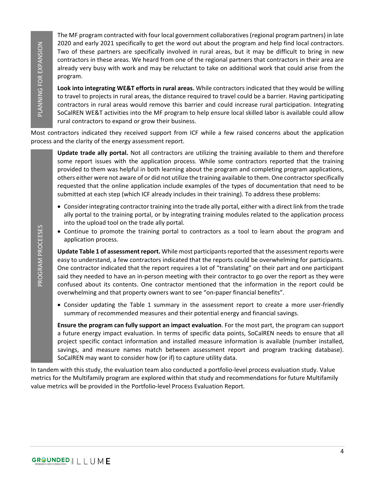The MF program contracted with four local government collaboratives (regional program partners) in late 2020 and early 2021 specifically to get the word out about the program and help find local contractors. Two of these partners are specifically involved in rural areas, but it may be difficult to bring in new contractors in these areas. We heard from one of the regional partners that contractors in their area are already very busy with work and may be reluctant to take on additional work that could arise from the program.

**Look into integrating WE&T efforts in rural areas.** While contractors indicated that they would be willing to travel to projects in rural areas, the distance required to travel could be a barrier. Having participating contractors in rural areas would remove this barrier and could increase rural participation. Integrating SoCalREN WE&T activities into the MF program to help ensure local skilled labor is available could allow rural contractors to expand or grow their business.

Most contractors indicated they received support from ICF while a few raised concerns about the application process and the clarity of the energy assessment report.

**Update trade ally portal.** Not all contractors are utilizing the training available to them and therefore some report issues with the application process. While some contractors reported that the training provided to them was helpful in both learning about the program and completing program applications, others either were not aware of or did not utilize the training available to them. One contractor specifically requested that the online application include examples of the types of documentation that need to be submitted at each step (which ICF already includes in their training). To address these problems: Note carry will standard the provided in the program and the provided in the provided in the analysis with the standard in the analysis of the example and a standard in the standard transformation and the example in the s

- Consider integrating contractor training into the trade ally portal, either with a direct link from the trade ally portal to the training portal, or by integrating training modules related to the application process into the upload tool on the trade ally portal.
- Continue to promote the training portal to contractors as a tool to learn about the program and application process.

**Update Table 1 of assessment report.** While most participants reported that the assessment reports were easy to understand, a few contractors indicated that the reports could be overwhelming for participants. One contractor indicated that the report requires a lot of "translating" on their part and one participant said they needed to have an in-person meeting with their contractor to go over the report as they were confused about its contents. One contractor mentioned that the information in the report could be overwhelming and that property owners want to see "on-paper financial benefits".

• Consider updating the Table 1 summary in the assessment report to create a more user-friendly summary of recommended measures and their potential energy and financial savings.

**Ensure the program can fully support an impact evaluation**. For the most part, the program can support a future energy impact evaluation. In terms of specific data points, SoCalREN needs to ensure that all project specific contact information and installed measure information is available (number installed, savings, and measure names match between assessment report and program tracking database). SoCalREN may want to consider how (or if) to capture utility data.

In tandem with this study, the evaluation team also conducted a portfolio-level process evaluation study. Value metrics for the Multifamily program are explored within that study and recommendations for future Multifamily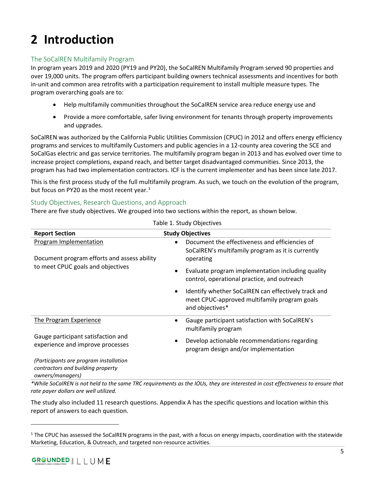## <span id="page-6-0"></span>**2 Introduction**

## The SoCalREN Multifamily Program

In program years 2019 and 2020 (PY19 and PY20), the SoCalREN Multifamily Program served 90 properties and over 19,000 units. The program offers participant building owners technical assessments and incentives for both in-unit and common area retrofits with a participation requirement to install multiple measure types. The program overarching goals are to:

- Help multifamily communities throughout the SoCalREN service area reduce energy use and
- Provide a more comfortable, safer living environment for tenants through property improvements and upgrades.

SoCalREN was authorized by the California Public Utilities Commission (CPUC) in 2012 and offers energy efficiency programs and services to multifamily Customers and public agencies in a 12-county area covering the SCE and SoCalGas electric and gas service territories. The multifamily program began in 2013 and has evolved over time to increase project completions, expand reach, and better target disadvantaged communities. Since 2013, the program has had two implementation contractors. ICF is the current implementer and has been since late 2017.

This is the first process study of the full multifamily program. As such, we touch on the evolution of the program, but focus on PY20 as the most recent year.<sup>[1](#page-6-2)</sup>

#### Study Objectives, Research Questions, and Approach

There are five study objectives. We grouped into two sections within the report, as shown below.

<span id="page-6-1"></span>

| <b>Report Section</b>                                                                           | <b>Study Objectives</b>                                                                                                     |
|-------------------------------------------------------------------------------------------------|-----------------------------------------------------------------------------------------------------------------------------|
| <b>Program Implementation</b><br>Document program efforts and assess ability                    | Document the effectiveness and efficiencies of<br>SoCalREN's multifamily program as it is currently<br>operating            |
| to meet CPUC goals and objectives                                                               | Evaluate program implementation including quality<br>٠<br>control, operational practice, and outreach                       |
|                                                                                                 | Identify whether SoCalREN can effectively track and<br>٠<br>meet CPUC-approved multifamily program goals<br>and objectives* |
| The Program Experience                                                                          | Gauge participant satisfaction with SoCalREN's<br>multifamily program                                                       |
| Gauge participant satisfaction and<br>experience and improve processes                          | Develop actionable recommendations regarding<br>$\bullet$<br>program design and/or implementation                           |
| (Participants are program installation<br>contractors and building property<br>owners/managers) |                                                                                                                             |

Table 1. Study Objectives

*\*While SoCalREN is not held to the same TRC requirements as the IOUs, they are interested in cost effectiveness to ensure that rate payer dollars are well utilized.*

The study also included 11 research questions. Appendix A has the specific questions and location within this report of answers to each question.

<span id="page-6-2"></span> $1$  The CPUC has assessed the SoCalREN programs in the past, with a focus on energy impacts, coordination with the statewide Marketing, Education, & Outreach, and targeted non-resource activities.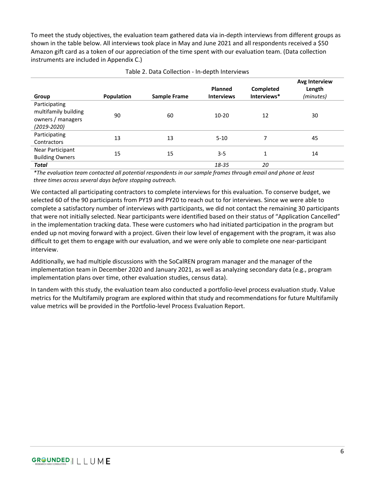To meet the study objectives, the evaluation team gathered data via in-depth interviews from different groups as shown in the table below. All interviews took place in May and June 2021 and all respondents received a \$50 Amazon gift card as a token of our appreciation of the time spent with our evaluation team. (Data collection instruments are included in Appendix C.)

<span id="page-7-0"></span>

| Group                                                                         | Population | <b>Sample Frame</b> | <b>Planned</b><br><b>Interviews</b> | Completed<br>Interviews* | Avg Interview<br>Length<br>(minutes) |
|-------------------------------------------------------------------------------|------------|---------------------|-------------------------------------|--------------------------|--------------------------------------|
| Participating<br>multifamily building<br>owners / managers<br>$(2019 - 2020)$ | 90         | 60                  | $10 - 20$                           | 12                       | 30                                   |
| Participating<br><b>Contractors</b>                                           | 13         | 13                  | $5 - 10$                            | 7                        | 45                                   |
| Near Participant<br><b>Building Owners</b>                                    | 15         | 15                  | $3 - 5$                             | 1                        | 14                                   |
| <b>Total</b>                                                                  |            |                     | 18-35                               | 20                       |                                      |

#### Table 2. Data Collection - In-depth Interviews

*\*The evaluation team contacted all potential respondents in our sample frames through email and phone at least three times across several days before stopping outreach.*

We contacted all participating contractors to complete interviews for this evaluation. To conserve budget, we selected 60 of the 90 participants from PY19 and PY20 to reach out to for interviews. Since we were able to complete a satisfactory number of interviews with participants, we did not contact the remaining 30 participants that were not initially selected. Near participants were identified based on their status of "Application Cancelled" in the implementation tracking data. These were customers who had initiated participation in the program but ended up not moving forward with a project. Given their low level of engagement with the program, it was also difficult to get them to engage with our evaluation, and we were only able to complete one near-participant interview.

Additionally, we had multiple discussions with the SoCalREN program manager and the manager of the implementation team in December 2020 and January 2021, as well as analyzing secondary data (e.g., program implementation plans over time, other evaluation studies, census data).

In tandem with this study, the evaluation team also conducted a portfolio-level process evaluation study. Value metrics for the Multifamily program are explored within that study and recommendations for future Multifamily value metrics will be provided in the Portfolio-level Process Evaluation Report.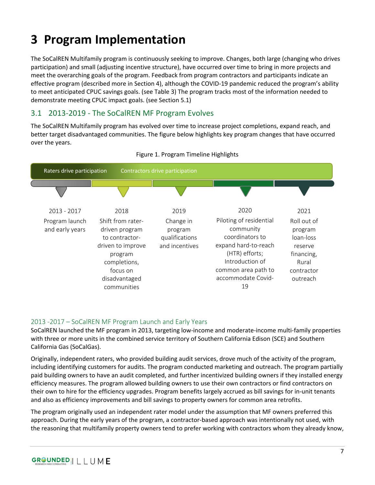## <span id="page-8-0"></span>**3 Program Implementation**

The SoCalREN Multifamily program is continuously seeking to improve. Changes, both large (changing who drives participation) and small (adjusting incentive structure), have occurred over time to bring in more projects and meet the overarching goals of the program. Feedback from program contractors and participants indicate an effective program (described more in Section [4\)](#page-17-0), although the COVID-19 pandemic reduced the program's ability to meet anticipated CPUC savings goals. (see [Table 3\)](#page-11-1) The program tracks most of the information needed to demonstrate meeting CPUC impact goals. (see Section [5.1\)](#page-22-0)

## <span id="page-8-1"></span>3.1 2013-2019 - The SoCalREN MF Program Evolves

The SoCalREN Multifamily program has evolved over time to increase project completions, expand reach, and better target disadvantaged communities. The figure below highlights key program changes that have occurred over the years.

<span id="page-8-2"></span>



#### 2013 -2017 – SoCalREN MF Program Launch and Early Years

SoCalREN launched the MF program in 2013, targeting low-income and moderate-income multi-family properties with three or more units in the combined service territory of Southern California Edison (SCE) and Southern California Gas (SoCalGas).

Originally, independent raters, who provided building audit services, drove much of the activity of the program, including identifying customers for audits. The program conducted marketing and outreach. The program partially paid building owners to have an audit completed, and further incentivized building owners if they installed energy efficiency measures. The program allowed building owners to use their own contractors or find contractors on their own to hire for the efficiency upgrades. Program benefits largely accrued as bill savings for in-unit tenants and also as efficiency improvements and bill savings to property owners for common area retrofits.

The program originally used an independent rater model under the assumption that MF owners preferred this approach. During the early years of the program, a contractor-based approach was intentionally not used, with the reasoning that multifamily property owners tend to prefer working with contractors whom they already know,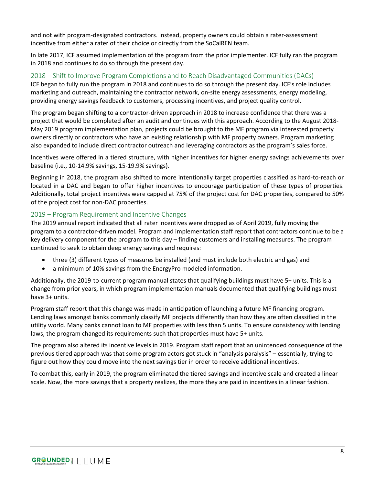and not with program-designated contractors. Instead, property owners could obtain a rater-assessment incentive from either a rater of their choice or directly from the SoCalREN team.

In late 2017, ICF assumed implementation of the program from the prior implementer. ICF fully ran the program in 2018 and continues to do so through the present day.

#### 2018 – Shift to Improve Program Completions and to Reach Disadvantaged Communities (DACs)

ICF began to fully run the program in 2018 and continues to do so through the present day. ICF's role includes marketing and outreach, maintaining the contractor network, on-site energy assessments, energy modeling, providing energy savings feedback to customers, processing incentives, and project quality control.

The program began shifting to a contractor-driven approach in 2018 to increase confidence that there was a project that would be completed after an audit and continues with this approach. According to the August 2018- May 2019 program implementation plan, projects could be brought to the MF program via interested property owners directly or contractors who have an existing relationship with MF property owners. Program marketing also expanded to include direct contractor outreach and leveraging contractors as the program's sales force.

Incentives were offered in a tiered structure, with higher incentives for higher energy savings achievements over baseline (i.e., 10-14.9% savings, 15-19.9% savings).

Beginning in 2018, the program also shifted to more intentionally target properties classified as hard-to-reach or located in a DAC and began to offer higher incentives to encourage participation of these types of properties. Additionally, total project incentives were capped at 75% of the project cost for DAC properties, compared to 50% of the project cost for non-DAC properties.

#### 2019 – Program Requirement and Incentive Changes

The 2019 annual report indicated that all rater incentives were dropped as of April 2019, fully moving the program to a contractor-driven model. Program and implementation staff report that contractors continue to be a key delivery component for the program to this day – finding customers and installing measures. The program continued to seek to obtain deep energy savings and requires:

- three (3) different types of measures be installed (and must include both electric and gas) and
- a minimum of 10% savings from the EnergyPro modeled information.

Additionally, the 2019-to-current program manual states that qualifying buildings must have 5+ units. This is a change from prior years, in which program implementation manuals documented that qualifying buildings must have 3+ units.

Program staff report that this change was made in anticipation of launching a future MF financing program. Lending laws amongst banks commonly classify MF projects differently than how they are often classified in the utility world. Many banks cannot loan to MF properties with less than 5 units. To ensure consistency with lending laws, the program changed its requirements such that properties must have 5+ units.

The program also altered its incentive levels in 2019. Program staff report that an unintended consequence of the previous tiered approach was that some program actors got stuck in "analysis paralysis" – essentially, trying to figure out how they could move into the next savings tier in order to receive additional incentives.

To combat this, early in 2019, the program eliminated the tiered savings and incentive scale and created a linear scale. Now, the more savings that a property realizes, the more they are paid in incentives in a linear fashion.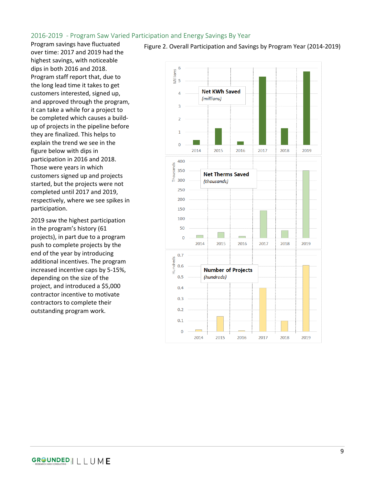#### 2016-2019 - Program Saw Varied Participation and Energy Savings By Year

Program savings have fluctuated over time: 2017 and 2019 had the highest savings, with noticeable dips in both 2016 and 2018. Program staff report that, due to the long lead time it takes to get customers interested, signed up, and approved through the program, it can take a while for a project to be completed which causes a buildup of projects in the pipeline before they are finalized. This helps to explain the trend we see in the figure below with dips in participation in 2016 and 2018. Those were years in which customers signed up and projects started, but the projects were not completed until 2017 and 2019, respectively, where we see spikes in participation.

2019 saw the highest participation in the program's history (61 projects), in part due to a program push to complete projects by the end of the year by introducing additional incentives. The program increased incentive caps by 5-15%, depending on the size of the project, and introduced a \$5,000 contractor incentive to motivate contractors to complete their outstanding program work.



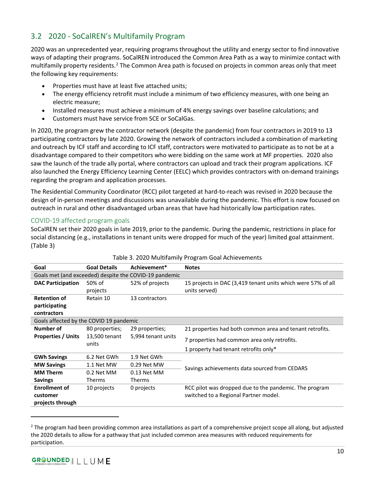## <span id="page-11-0"></span>3.2 2020 - SoCalREN's Multifamily Program

2020 was an unprecedented year, requiring programs throughout the utility and energy sector to find innovative ways of adapting their programs. SoCalREN introduced the Common Area Path as a way to minimize contact with multifamily property residents.<sup>[2](#page-11-2)</sup> The Common Area path is focused on projects in common areas only that meet the following key requirements:

- Properties must have at least five attached units;
- The energy efficiency retrofit must include a minimum of two efficiency measures, with one being an electric measure;
- Installed measures must achieve a minimum of 4% energy savings over baseline calculations; and
- Customers must have service from SCE or SoCalGas.

In 2020, the program grew the contractor network (despite the pandemic) from four contractors in 2019 to 13 participating contractors by late 2020. Growing the network of contractors included a combination of marketing and outreach by ICF staff and according to ICF staff, contractors were motivated to participate as to not be at a disadvantage compared to their competitors who were bidding on the same work at MF properties. 2020 also saw the launch of the trade ally portal, where contractors can upload and track their program applications. ICF also launched the Energy Efficiency Learning Center (EELC) which provides contractors with on-demand trainings regarding the program and application processes.

The Residential Community Coordinator (RCC) pilot targeted at hard-to-reach was revised in 2020 because the design of in-person meetings and discussions was unavailable during the pandemic. This effort is now focused on outreach in rural and other disadvantaged urban areas that have had historically low participation rates.

#### COVID-19 affected program goals

SoCalREN set their 2020 goals in late 2019, prior to the pandemic. During the pandemic, restrictions in place for social distancing (e.g., installations in tenant units were dropped for much of the year) limited goal attainment. [\(Table 3\)](#page-11-1)

<span id="page-11-1"></span>

| Goal                                                   | <b>Goal Details</b>                 | Achievement*                                 | <b>Notes</b>                                                 |  |  |  |
|--------------------------------------------------------|-------------------------------------|----------------------------------------------|--------------------------------------------------------------|--|--|--|
| Goals met (and exceeded) despite the COVID-19 pandemic |                                     |                                              |                                                              |  |  |  |
| <b>DAC Participation</b>                               | 50% of                              | 52% of projects                              | 15 projects in DAC (3,419 tenant units which were 57% of all |  |  |  |
|                                                        | projects                            |                                              | units served)                                                |  |  |  |
| <b>Retention of</b>                                    | Retain 10                           | 13 contractors                               |                                                              |  |  |  |
| participating                                          |                                     |                                              |                                                              |  |  |  |
| contractors                                            |                                     |                                              |                                                              |  |  |  |
| Goals affected by the COVID 19 pandemic                |                                     |                                              |                                                              |  |  |  |
| Number of                                              | 80 properties;                      | 29 properties;                               | 21 properties had both common area and tenant retrofits.     |  |  |  |
| <b>Properties / Units</b>                              | 13,500 tenant<br>5,994 tenant units | 7 properties had common area only retrofits. |                                                              |  |  |  |
|                                                        | units                               |                                              | 1 property had tenant retrofits only*                        |  |  |  |
| <b>GWh Savings</b>                                     | 6.2 Net GWh                         | 1.9 Net GWh                                  |                                                              |  |  |  |
| <b>MW Savings</b>                                      | 1.1 Net MW                          | 0.29 Net MW                                  | Savings achievements data sourced from CEDARS                |  |  |  |
| <b>MM Therm</b>                                        | 0.2 Net MM                          | 0.13 Net MM                                  |                                                              |  |  |  |
| <b>Savings</b>                                         | Therms                              | Therms                                       |                                                              |  |  |  |
| <b>Enrollment of</b>                                   | 10 projects                         | 0 projects                                   | RCC pilot was dropped due to the pandemic. The program       |  |  |  |
| customer                                               |                                     |                                              | switched to a Regional Partner model.                        |  |  |  |
| projects through                                       |                                     |                                              |                                                              |  |  |  |

#### Table 3. 2020 Multifamily Program Goal Achievements

<span id="page-11-2"></span> $2$  The program had been providing common area installations as part of a comprehensive project scope all along, but adjusted the 2020 details to allow for a pathway that just included common area measures with reduced requirements for participation.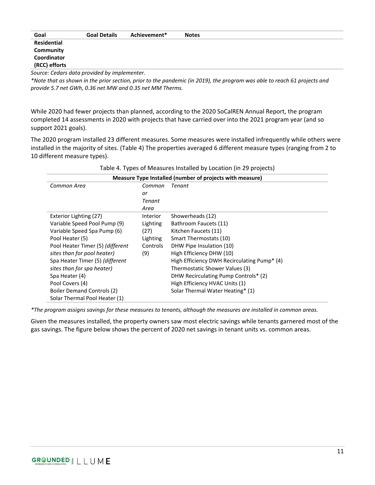| Goal                                       | <b>Goal Details</b>           | Achievement* | <b>Notes</b> |  |  |
|--------------------------------------------|-------------------------------|--------------|--------------|--|--|
| <b>Residential</b>                         |                               |              |              |  |  |
| Community                                  |                               |              |              |  |  |
| Coordinator                                |                               |              |              |  |  |
| (RCC) efforts                              |                               |              |              |  |  |
| $\sim$<br>$\sim$ $\sim$ $\sim$<br>$\cdots$ | .<br>$\overline{\phantom{a}}$ |              |              |  |  |

*Source: Cedars data provided by implementer.* 

*\*Note that as shown in the prior section, prior to the pandemic (in 2019), the program was able to reach 61 projects and provide 5.7 net GWh, 0.36 net MW and 0.35 net MM Therms.*

While 2020 had fewer projects than planned, according to the 2020 SoCalREN Annual Report, the program completed 14 assessments in 2020 with projects that have carried over into the 2021 program year (and so support 2021 goals).

The 2020 program installed 23 different measures. Some measures were installed infrequently while others were installed in the majority of sites. [\(Table 4\)](#page-12-0) The properties averaged 6 different measure types (ranging from 2 to 10 different measure types).

<span id="page-12-0"></span>

| Measure Type Installed (number of projects with measure) |          |                                             |  |
|----------------------------------------------------------|----------|---------------------------------------------|--|
| Common Area                                              | Common   | Tenant                                      |  |
|                                                          | or       |                                             |  |
|                                                          | Tenant   |                                             |  |
|                                                          | Area     |                                             |  |
| Exterior Lighting (27)                                   | Interior | Showerheads (12)                            |  |
| Variable Speed Pool Pump (9)                             | Lighting | Bathroom Faucets (11)                       |  |
| Variable Speed Spa Pump (6)                              | (27)     | Kitchen Faucets (11)                        |  |
| Pool Heater (5)                                          | Lighting | Smart Thermostats (10)                      |  |
| Pool Heater Timer (5) (different                         | Controls | DHW Pipe Insulation (10)                    |  |
| sites than for pool heater)                              | (9)      | High Efficiency DHW (10)                    |  |
| Spa Heater Timer (5) (different                          |          | High Efficiency DWH Recirculating Pump* (4) |  |
| sites than for spa heater)                               |          | Thermostatic Shower Values (3)              |  |
| Spa Heater (4)                                           |          | DHW Recirculating Pump Controls* (2)        |  |
| Pool Covers (4)                                          |          | High Efficiency HVAC Units (1)              |  |
| <b>Boiler Demand Controls (2)</b>                        |          | Solar Thermal Water Heating* (1)            |  |
| Solar Thermal Pool Heater (1)                            |          |                                             |  |

Table 4. Types of Measures Installed by Location (in 29 projects)

*\*The program assigns savings for these measures to tenants, although the measures are installed in common areas.* 

Given the measures installed, the property owners saw most electric savings while tenants garnered most of the gas savings. The figure below shows the percent of 2020 net savings in tenant units vs. common areas.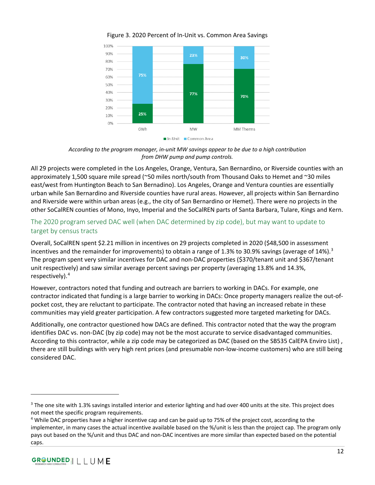<span id="page-13-0"></span>

Figure 3. 2020 Percent of In-Unit vs. Common Area Savings

*According to the program manager, in-unit MW savings appear to be due to a high contribution from DHW pump and pump controls.*

All 29 projects were completed in the Los Angeles, Orange, Ventura, San Bernardino, or Riverside counties with an approximately 1,500 square mile spread (~50 miles north/south from Thousand Oaks to Hemet and ~30 miles east/west from Huntington Beach to San Bernadino). Los Angeles, Orange and Ventura counties are essentially urban while San Bernardino and Riverside counties have rural areas. However, all projects within San Bernardino and Riverside were within urban areas (e.g., the city of San Bernardino or Hemet). There were no projects in the other SoCalREN counties of Mono, Inyo, Imperial and the SoCalREN parts of Santa Barbara, Tulare, Kings and Kern.

## The 2020 program served DAC well (when DAC determined by zip code), but may want to update to target by census tracts

Overall, SoCalREN spent \$2.21 million in incentives on 29 projects completed in 2020 (\$48,500 in assessment incentives and the remainder for improvements) to obtain a range of 1.[3](#page-13-1)% to 30.9% savings (average of 14%).<sup>3</sup> The program spent very similar incentives for DAC and non-DAC properties (\$370/tenant unit and \$367/tenant unit respectively) and saw similar average percent savings per property (averaging 13.8% and 14.3%, respectively).[4](#page-13-2)

However, contractors noted that funding and outreach are barriers to working in DACs. For example, one contractor indicated that funding is a large barrier to working in DACs: Once property managers realize the out-ofpocket cost, they are reluctant to participate. The contractor noted that having an increased rebate in these communities may yield greater participation. A few contractors suggested more targeted marketing for DACs.

Additionally, one contractor questioned how DACs are defined. This contractor noted that the way the program identifies DAC vs. non-DAC (by zip code) may not be the most accurate to service disadvantaged communities. According to this contractor, while a zip code may be categorized as DAC (based on the SB535 CalEPA Enviro List) , there are still buildings with very high rent prices (and presumable non-low-income customers) who are still being considered DAC.

<span id="page-13-1"></span><sup>&</sup>lt;sup>3</sup> The one site with 1.3% savings installed interior and exterior lighting and had over 400 units at the site. This project does not meet the specific program requirements.

<span id="page-13-2"></span><sup>4</sup> While DAC properties have a higher incentive cap and can be paid up to 75% of the project cost, according to the implementer, in many cases the actual incentive available based on the %/unit is less than the project cap. The program only pays out based on the %/unit and thus DAC and non-DAC incentives are more similar than expected based on the potential caps.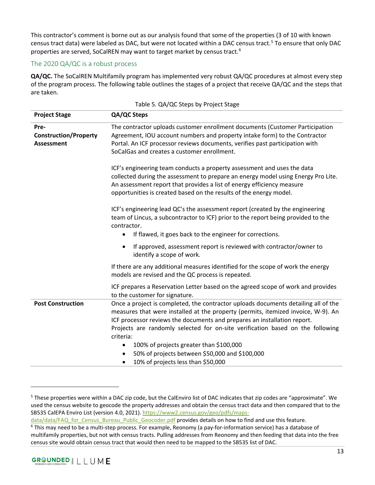This contractor's comment is borne out as our analysis found that some of the properties (3 of 10 with known census tract data) were labeled as DAC, but were not located within a DAC census tract. [5](#page-14-1) To ensure that only DAC properties are served, SoCalREN may want to target market by census tract.<sup>[6](#page-14-2)</sup>

#### The 2020 QA/QC is a robust process

**QA/QC.** The SoCalREN Multifamily program has implemented very robust QA/QC procedures at almost every step of the program process. The following table outlines the stages of a project that receive QA/QC and the steps that are taken.

<span id="page-14-0"></span>

|                                                           | $1001C$ 3. Q/V QC Steps by TTOJECt Stage                                                                                                                                                                                                                                                                                                           |  |  |
|-----------------------------------------------------------|----------------------------------------------------------------------------------------------------------------------------------------------------------------------------------------------------------------------------------------------------------------------------------------------------------------------------------------------------|--|--|
| <b>Project Stage</b>                                      | QA/QC Steps                                                                                                                                                                                                                                                                                                                                        |  |  |
| Pre-<br><b>Construction/Property</b><br><b>Assessment</b> | The contractor uploads customer enrollment documents (Customer Participation<br>Agreement, IOU account numbers and property intake form) to the Contractor<br>Portal. An ICF processor reviews documents, verifies past participation with<br>SoCalGas and creates a customer enrollment.                                                          |  |  |
|                                                           | ICF's engineering team conducts a property assessment and uses the data<br>collected during the assessment to prepare an energy model using Energy Pro Lite.<br>An assessment report that provides a list of energy efficiency measure<br>opportunities is created based on the results of the energy model.                                       |  |  |
|                                                           | ICF's engineering lead QC's the assessment report (created by the engineering<br>team of Lincus, a subcontractor to ICF) prior to the report being provided to the<br>contractor.                                                                                                                                                                  |  |  |
|                                                           | If flawed, it goes back to the engineer for corrections.<br>$\bullet$                                                                                                                                                                                                                                                                              |  |  |
|                                                           | If approved, assessment report is reviewed with contractor/owner to<br>$\bullet$<br>identify a scope of work.                                                                                                                                                                                                                                      |  |  |
|                                                           | If there are any additional measures identified for the scope of work the energy<br>models are revised and the QC process is repeated.                                                                                                                                                                                                             |  |  |
|                                                           | ICF prepares a Reservation Letter based on the agreed scope of work and provides<br>to the customer for signature.                                                                                                                                                                                                                                 |  |  |
| <b>Post Construction</b>                                  | Once a project is completed, the contractor uploads documents detailing all of the<br>measures that were installed at the property (permits, itemized invoice, W-9). An<br>ICF processor reviews the documents and prepares an installation report.<br>Projects are randomly selected for on-site verification based on the following<br>criteria: |  |  |
|                                                           | 100% of projects greater than \$100,000<br>$\bullet$<br>50% of projects between \$50,000 and \$100,000<br>10% of projects less than \$50,000<br>٠                                                                                                                                                                                                  |  |  |

<span id="page-14-1"></span><sup>5</sup> These properties were within a DAC zip code, but the CalEnviro list of DAC indicates that zip codes are "approximate". We used the census website to geocode the property addresses and obtain the census tract data and then compared that to the SB535 CalEPA Enviro List (version 4.0, 2021). [https://www2.census.gov/geo/pdfs/maps](https://www2.census.gov/geo/pdfs/maps-data/data/FAQ_for_Census_Bureau_Public_Geocoder.pdf)[data/data/FAQ\\_for\\_Census\\_Bureau\\_Public\\_Geocoder.pdf](https://www2.census.gov/geo/pdfs/maps-data/data/FAQ_for_Census_Bureau_Public_Geocoder.pdf) provides details on how to find and use this feature.

<span id="page-14-2"></span> $6$  This may need to be a multi-step process. For example, Reonomy (a pay-for-information service) has a database of multifamily properties, but not with census tracts. Pulling addresses from Reonomy and then feeding that data into the free census site would obtain census tract that would then need to be mapped to the SB535 list of DAC.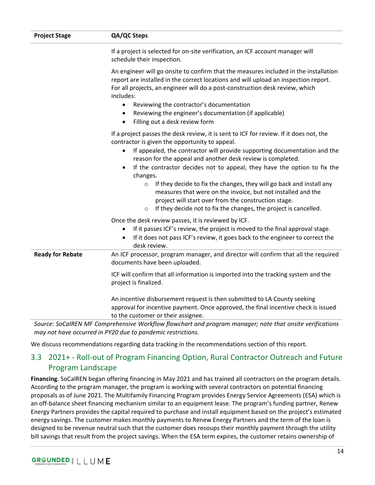| <b>Project Stage</b>    | QA/QC Steps                                                                                                                                                                                                                                                                                                                                                                                                                                                                                                                                                                                                                                                                                                                                                                                                                                                                                                                 |
|-------------------------|-----------------------------------------------------------------------------------------------------------------------------------------------------------------------------------------------------------------------------------------------------------------------------------------------------------------------------------------------------------------------------------------------------------------------------------------------------------------------------------------------------------------------------------------------------------------------------------------------------------------------------------------------------------------------------------------------------------------------------------------------------------------------------------------------------------------------------------------------------------------------------------------------------------------------------|
|                         | If a project is selected for on-site verification, an ICF account manager will<br>schedule their inspection.                                                                                                                                                                                                                                                                                                                                                                                                                                                                                                                                                                                                                                                                                                                                                                                                                |
|                         | An engineer will go onsite to confirm that the measures included in the installation<br>report are installed in the correct locations and will upload an inspection report.<br>For all projects, an engineer will do a post-construction desk review, which<br>includes:<br>Reviewing the contractor's documentation<br>$\bullet$                                                                                                                                                                                                                                                                                                                                                                                                                                                                                                                                                                                           |
|                         | Reviewing the engineer's documentation (if applicable)<br>$\bullet$<br>Filling out a desk review form<br>$\bullet$                                                                                                                                                                                                                                                                                                                                                                                                                                                                                                                                                                                                                                                                                                                                                                                                          |
|                         | If a project passes the desk review, it is sent to ICF for review. If it does not, the<br>contractor is given the opportunity to appeal.<br>If appealed, the contractor will provide supporting documentation and the<br>$\bullet$<br>reason for the appeal and another desk review is completed.<br>If the contractor decides not to appeal, they have the option to fix the<br>changes.<br>If they decide to fix the changes, they will go back and install any<br>$\circ$<br>measures that were on the invoice, but not installed and the<br>project will start over from the construction stage.<br>If they decide not to fix the changes, the project is cancelled.<br>$\circ$<br>Once the desk review passes, it is reviewed by ICF.<br>If it passes ICF's review, the project is moved to the final approval stage.<br>If it does not pass ICF's review, it goes back to the engineer to correct the<br>desk review. |
| <b>Ready for Rebate</b> | An ICF processor, program manager, and director will confirm that all the required<br>documents have been uploaded.                                                                                                                                                                                                                                                                                                                                                                                                                                                                                                                                                                                                                                                                                                                                                                                                         |
|                         | ICF will confirm that all information is imported into the tracking system and the<br>project is finalized.                                                                                                                                                                                                                                                                                                                                                                                                                                                                                                                                                                                                                                                                                                                                                                                                                 |
|                         | An incentive disbursement request is then submitted to LA County seeking<br>approval for incentive payment. Once approved, the final incentive check is issued<br>to the customer or their assignee.                                                                                                                                                                                                                                                                                                                                                                                                                                                                                                                                                                                                                                                                                                                        |
|                         | Source: SoCalREN MF Comprehensive Workflow flowchart and program manager; note that onsite verifications<br>may not have occurred in PY20 due to pandemic restrictions.                                                                                                                                                                                                                                                                                                                                                                                                                                                                                                                                                                                                                                                                                                                                                     |

We discuss recommendations regarding data tracking in the recommendations section of this report.

## <span id="page-15-0"></span>3.3 2021+ - Roll-out of Program Financing Option, Rural Contractor Outreach and Future Program Landscape

**Financing**. SoCalREN began offering financing in May 2021 and has trained all contractors on the program details. According to the program manager, the program is working with several contractors on potential financing proposals as of June 2021. The Multifamily Financing Program provides Energy Service Agreements (ESA) which is an off-balance sheet financing mechanism similar to an equipment lease. The program's funding partner, Renew Energy Partners provides the capital required to purchase and install equipment based on the project's estimated energy savings. The customer makes monthly payments to Renew Energy Partners and the term of the loan is designed to be revenue neutral such that the customer does recoups their monthly payment through the utility bill savings that result from the project savings. When the ESA term expires, the customer retains ownership of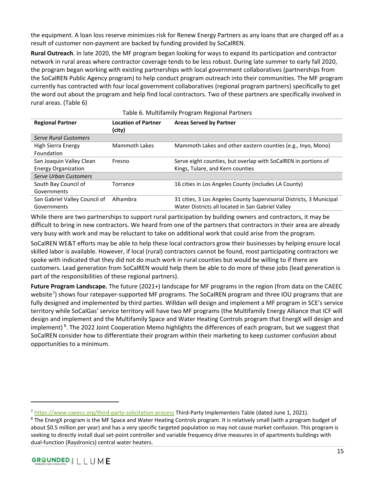the equipment. A loan loss reserve minimizes risk for Renew Energy Partners as any loans that are charged off as a result of customer non-payment are backed by funding provided by SoCalREN.

**Rural Outreach**. In late 2020, the MF program began looking for ways to expand its participation and contractor network in rural areas where contractor coverage tends to be less robust. During late summer to early fall 2020, the program began working with existing partnerships with local government collaboratives (partnerships from the SoCalREN Public Agency program) to help conduct program outreach into their communities. The MF program currently has contracted with four local government collaboratives (regional program partners) specifically to get the word out about the program and help find local contractors. Two of these partners are specifically involved in rural areas. [\(Table 6\)](#page-16-0)

<span id="page-16-0"></span>

| <b>Regional Partner</b>       | <b>Location of Partner</b><br>(city) | <b>Areas Served by Partner</b>                                       |
|-------------------------------|--------------------------------------|----------------------------------------------------------------------|
| <b>Serve Rural Customers</b>  |                                      |                                                                      |
| High Sierra Energy            | <b>Mammoth Lakes</b>                 | Mammoth Lakes and other eastern counties (e.g., Inyo, Mono)          |
| Foundation                    |                                      |                                                                      |
| San Joaquin Valley Clean      | Fresno                               | Serve eight counties, but overlap with SoCalREN in portions of       |
| <b>Energy Organization</b>    |                                      | Kings, Tulare, and Kern counties                                     |
| Serve Urban Customers         |                                      |                                                                      |
| South Bay Council of          | Torrance                             | 16 cities in Los Angeles County (includes LA County)                 |
| Governments                   |                                      |                                                                      |
| San Gabriel Valley Council of | Alhambra                             | 31 cities, 3 Los Angeles County Supervisorial Districts, 3 Municipal |
| Governments                   |                                      | Water Districts all located in San Gabriel Valley                    |

#### Table 6. Multifamily Program Regional Partners

While there are two partnerships to support rural participation by building owners and contractors, it may be difficult to bring in new contractors. We heard from one of the partners that contractors in their area are already very busy with work and may be reluctant to take on additional work that could arise from the program.

SoCalREN WE&T efforts may be able to help these local contractors grow their businesses by helping ensure local skilled labor is available. However, if local (rural) contractors cannot be found, most participating contractors we spoke with indicated that they did not do much work in rural counties but would be willing to if there are customers. Lead generation from SoCalREN would help them be able to do more of these jobs (lead generation is part of the responsibilities of these regional partners).

**Future Program Landscape.** The future (2021+) landscape for MF programs in the region (from data on the CAEEC website<sup>[7](#page-16-1)</sup>) shows four ratepayer-supported MF programs. The SoCalREN program and three IOU programs that are fully designed and implemented by third parties. Willdan will design and implement a MF program in SCE's service territory while SoCalGas' service territory will have two MF programs (the Multifamily Energy Alliance that ICF will design and implement and the Multifamily Space and Water Heating Controls program that EnergX will design and implement) <sup>[8](#page-16-2)</sup>. The 2022 Joint Cooperation Memo highlights the differences of each program, but we suggest that SoCalREN consider how to differentiate their program within their marketing to keep customer confusion about opportunities to a minimum.

<span id="page-16-1"></span><sup>&</sup>lt;sup>7</sup> https://www.caeecc.org/third-party-solicitation-process</u> [T](https://www.caeecc.org/third-party-solicitation-process)hird-Party Implementers Table (dated June 1, 2021).<br><sup>8</sup> The EnergX program is the MF Space and Water Heating Controls program. It is relatively small (with a pr

<span id="page-16-2"></span>about \$0.5 million per year) and has a very specific targeted population so may not cause market confusion. This program is seeking to directly install dual set-point controller and variable frequency drive measures in of apartments buildings with dual-function (Raydronics) central water heaters.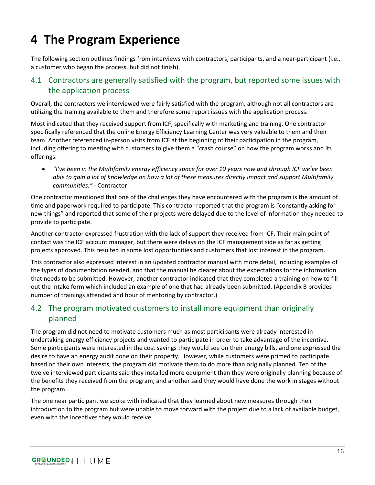# <span id="page-17-0"></span>**4 The Program Experience**

The following section outlines findings from interviews with contractors, participants, and a near-participant (i.e., a customer who began the process, but did not finish).

## <span id="page-17-1"></span>4.1 Contractors are generally satisfied with the program, but reported some issues with the application process

Overall, the contractors we interviewed were fairly satisfied with the program, although not all contractors are utilizing the training available to them and therefore some report issues with the application process.

Most indicated that they received support from ICF, specifically with marketing and training. One contractor specifically referenced that the online Energy Efficiency Learning Center was very valuable to them and their team. Another referenced in-person visits from ICF at the beginning of their participation in the program, including offering to meeting with customers to give them a "crash course" on how the program works and its offerings.

• *"I've been in the Multifamily energy efficiency space for over 10 years now and through ICF we've been able to gain a lot of knowledge on how a lot of these measures directly impact and support Multifamily communities."* - Contractor

One contractor mentioned that one of the challenges they have encountered with the program is the amount of time and paperwork required to participate. This contractor reported that the program is "constantly asking for new things" and reported that some of their projects were delayed due to the level of information they needed to provide to participate.

Another contractor expressed frustration with the lack of support they received from ICF. Their main point of contact was the ICF account manager, but there were delays on the ICF management side as far as getting projects approved. This resulted in some lost opportunities and customers that lost interest in the program.

This contractor also expressed interest in an updated contractor manual with more detail, including examples of the types of documentation needed, and that the manual be clearer about the expectations for the information that needs to be submitted. However, another contractor indicated that they completed a training on how to fill out the intake form which included an example of one that had already been submitted. (Appendix B provides number of trainings attended and hour of mentoring by contractor.)

## <span id="page-17-2"></span>4.2 The program motivated customers to install more equipment than originally planned

The program did not need to motivate customers much as most participants were already interested in undertaking energy efficiency projects and wanted to participate in order to take advantage of the incentive. Some participants were interested in the cost savings they would see on their energy bills, and one expressed the desire to have an energy audit done on their property. However, while customers were primed to participate based on their own interests, the program did motivate them to do more than originally planned. Ten of the twelve interviewed participants said they installed more equipment than they were originally planning because of the benefits they received from the program, and another said they would have done the work in stages without the program.

The one near participant we spoke with indicated that they learned about new measures through their introduction to the program but were unable to move forward with the project due to a lack of available budget, even with the incentives they would receive.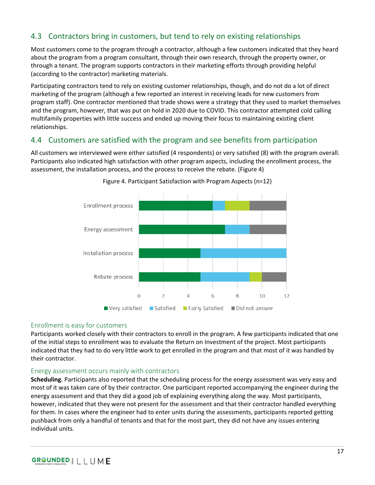## <span id="page-18-0"></span>4.3 Contractors bring in customers, but tend to rely on existing relationships

Most customers come to the program through a contractor, although a few customers indicated that they heard about the program from a program consultant, through their own research, through the property owner, or through a tenant. The program supports contractors in their marketing efforts through providing helpful (according to the contractor) marketing materials.

Participating contractors tend to rely on existing customer relationships, though, and do not do a lot of direct marketing of the program (although a few reported an interest in receiving leads for new customers from program staff). One contractor mentioned that trade shows were a strategy that they used to market themselves and the program, however, that was put on hold in 2020 due to COVID. This contractor attempted cold calling multifamily properties with little success and ended up moving their focus to maintaining existing client relationships.

## <span id="page-18-1"></span>4.4 Customers are satisfied with the program and see benefits from participation

<span id="page-18-2"></span>All customers we interviewed were either satisfied (4 respondents) or very satisfied (8) with the program overall. Participants also indicated high satisfaction with other program aspects, including the enrollment process, the assessment, the installation process, and the process to receive the rebate. [\(Figure 4\)](#page-18-2)





#### Enrollment is easy for customers

Participants worked closely with their contractors to enroll in the program. A few participants indicated that one of the initial steps to enrollment was to evaluate the Return on Investment of the project. Most participants indicated that they had to do very little work to get enrolled in the program and that most of it was handled by their contractor.

#### Energy assessment occurs mainly with contractors

**Scheduling**. Participants also reported that the scheduling process for the energy assessment was very easy and most of it was taken care of by their contractor. One participant reported accompanying the engineer during the energy assessment and that they did a good job of explaining everything along the way. Most participants, however, indicated that they were not present for the assessment and that their contractor handled everything for them. In cases where the engineer had to enter units during the assessments, participants reported getting pushback from only a handful of tenants and that for the most part, they did not have any issues entering individual units.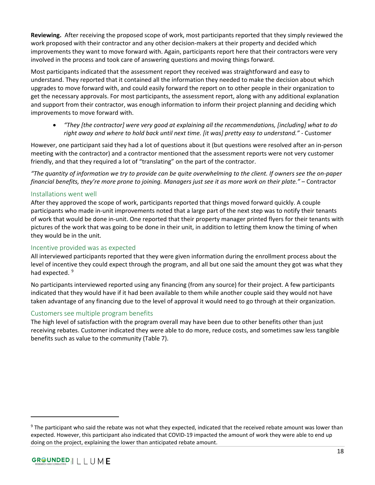**Reviewing.** After receiving the proposed scope of work, most participants reported that they simply reviewed the work proposed with their contractor and any other decision-makers at their property and decided which improvements they want to move forward with. Again, participants report here that their contractors were very involved in the process and took care of answering questions and moving things forward.

Most participants indicated that the assessment report they received was straightforward and easy to understand. They reported that it contained all the information they needed to make the decision about which upgrades to move forward with, and could easily forward the report on to other people in their organization to get the necessary approvals. For most participants, the assessment report, along with any additional explanation and support from their contractor, was enough information to inform their project planning and deciding which improvements to move forward with.

• *"They [the contractor] were very good at explaining all the recommendations, [including] what to do right away and where to hold back until next time. [it was] pretty easy to understand." -* Customer

However, one participant said they had a lot of questions about it (but questions were resolved after an in-person meeting with the contractor) and a contractor mentioned that the assessment reports were not very customer friendly, and that they required a lot of "translating" on the part of the contractor.

*"The quantity of information we try to provide can be quite overwhelming to the client. If owners see the on-paper financial benefits, they're more prone to joining. Managers just see it as more work on their plate."* – Contractor

#### Installations went well

After they approved the scope of work, participants reported that things moved forward quickly. A couple participants who made in-unit improvements noted that a large part of the next step was to notify their tenants of work that would be done in-unit. One reported that their property manager printed flyers for their tenants with pictures of the work that was going to be done in their unit, in addition to letting them know the timing of when they would be in the unit.

#### Incentive provided was as expected

All interviewed participants reported that they were given information during the enrollment process about the level of incentive they could expect through the program, and all but one said the amount they got was what they had expected.<sup>[9](#page-19-0)</sup>

No participants interviewed reported using any financing (from any source) for their project. A few participants indicated that they would have if it had been available to them while another couple said they would not have taken advantage of any financing due to the level of approval it would need to go through at their organization.

## Customers see multiple program benefits

The high level of satisfaction with the program overall may have been due to other benefits other than just receiving rebates. Customer indicated they were able to do more, reduce costs, and sometimes saw less tangible benefits such as value to the community [\(Table 7\)](#page-20-0).

<span id="page-19-0"></span><sup>&</sup>lt;sup>9</sup> The participant who said the rebate was not what they expected, indicated that the received rebate amount was lower than expected. However, this participant also indicated that COVID-19 impacted the amount of work they were able to end up doing on the project, explaining the lower than anticipated rebate amount.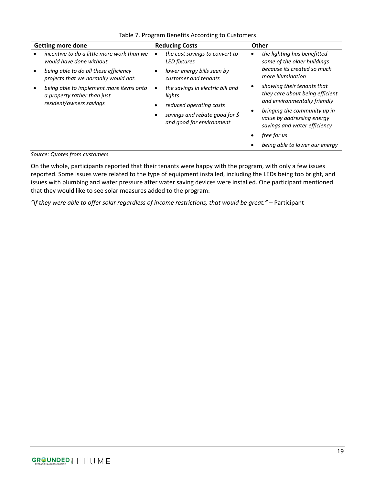<span id="page-20-0"></span>

| <b>Getting more done</b>                                                                                                                                | <b>Reducing Costs</b>                                                                                                                                 | Other                                                                                                                                                                                                                                        |
|---------------------------------------------------------------------------------------------------------------------------------------------------------|-------------------------------------------------------------------------------------------------------------------------------------------------------|----------------------------------------------------------------------------------------------------------------------------------------------------------------------------------------------------------------------------------------------|
| incentive to do a little more work than we<br>would have done without.<br>being able to do all these efficiency<br>projects that we normally would not. | the cost savings to convert to<br>LED fixtures<br>lower energy bills seen by<br>customer and tenants                                                  | the lighting has benefitted<br>some of the older buildings<br>because its created so much<br>more illumination                                                                                                                               |
| being able to implement more items onto<br>a property rather than just<br>resident/owners savings                                                       | the savings in electric bill and<br>$\bullet$<br>lights<br>reduced operating costs<br>savings and rebate good for $\zeta$<br>and good for environment | showing their tenants that<br>they care about being efficient<br>and environmentally friendly<br>bringing the community up in<br>value by addressing energy<br>savings and water efficiency<br>free for us<br>being able to lower our energy |

#### Table 7. Program Benefits According to Customers

#### *Source: Quotes from customers*

On the whole, participants reported that their tenants were happy with the program, with only a few issues reported. Some issues were related to the type of equipment installed, including the LEDs being too bright, and issues with plumbing and water pressure after water saving devices were installed. One participant mentioned that they would like to see solar measures added to the program:

*"If they were able to offer solar regardless of income restrictions, that would be great."* – Participant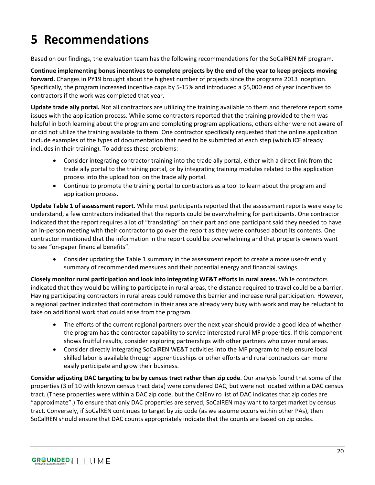# <span id="page-21-0"></span>**5 Recommendations**

Based on our findings, the evaluation team has the following recommendations for the SoCalREN MF program.

**Continue implementing bonus incentives to complete projects by the end of the year to keep projects moving forward.** Changes in PY19 brought about the highest number of projects since the programs 2013 inception. Specifically, the program increased incentive caps by 5-15% and introduced a \$5,000 end of year incentives to contractors if the work was completed that year.

**Update trade ally portal.** Not all contractors are utilizing the training available to them and therefore report some issues with the application process. While some contractors reported that the training provided to them was helpful in both learning about the program and completing program applications, others either were not aware of or did not utilize the training available to them. One contractor specifically requested that the online application include examples of the types of documentation that need to be submitted at each step (which ICF already includes in their training). To address these problems:

- Consider integrating contractor training into the trade ally portal, either with a direct link from the trade ally portal to the training portal, or by integrating training modules related to the application process into the upload tool on the trade ally portal.
- Continue to promote the training portal to contractors as a tool to learn about the program and application process.

**Update Table 1 of assessment report.** While most participants reported that the assessment reports were easy to understand, a few contractors indicated that the reports could be overwhelming for participants. One contractor indicated that the report requires a lot of "translating" on their part and one participant said they needed to have an in-person meeting with their contractor to go over the report as they were confused about its contents. One contractor mentioned that the information in the report could be overwhelming and that property owners want to see "on-paper financial benefits".

• Consider updating the Table 1 summary in the assessment report to create a more user-friendly summary of recommended measures and their potential energy and financial savings.

**Closely monitor rural participation and look into integrating WE&T efforts in rural areas.** While contractors indicated that they would be willing to participate in rural areas, the distance required to travel could be a barrier. Having participating contractors in rural areas could remove this barrier and increase rural participation. However, a regional partner indicated that contractors in their area are already very busy with work and may be reluctant to take on additional work that could arise from the program.

- The efforts of the current regional partners over the next year should provide a good idea of whether the program has the contractor capability to service interested rural MF properties. If this component shows fruitful results, consider exploring partnerships with other partners who cover rural areas.
- Consider directly integrating SoCalREN WE&T activities into the MF program to help ensure local skilled labor is available through apprenticeships or other efforts and rural contractors can more easily participate and grow their business.

**Consider adjusting DAC targeting to be by census tract rather than zip code**. Our analysis found that some of the properties (3 of 10 with known census tract data) were considered DAC, but were not located within a DAC census tract. (These properties were within a DAC zip code, but the CalEnviro list of DAC indicates that zip codes are "approximate".) To ensure that only DAC properties are served, SoCalREN may want to target market by census tract. Conversely, if SoCalREN continues to target by zip code (as we assume occurs within other PAs), then SoCalREN should ensure that DAC counts appropriately indicate that the counts are based on zip codes.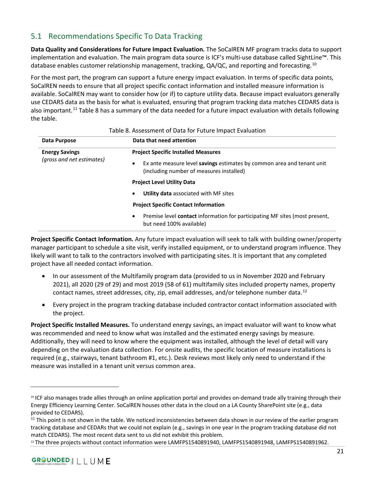## <span id="page-22-0"></span>5.1 Recommendations Specific To Data Tracking

**Data Quality and Considerations for Future Impact Evaluation.** The SoCalREN MF program tracks data to support implementation and evaluation. The main program data source is ICF's multi-use database called SightLine™. This database enables customer relationship management, tracking,  $QA/QC$ , and reporting and forecasting.<sup>[10](#page-22-2)</sup>

For the most part, the program can support a future energy impact evaluation. In terms of specific data points, SoCalREN needs to ensure that all project specific contact information and installed measure information is available. SoCalREN may want to consider how (or if) to capture utility data. Because impact evaluators generally use CEDARS data as the basis for what is evaluated, ensuring that program tracking data matches CEDARS data is also important.[11](#page-22-3) [Table 8](#page-22-1) has a summary of the data needed for a future impact evaluation with details following the table.

<span id="page-22-1"></span>

| Data Purpose              | Data that need attention<br><b>Project Specific Installed Measures</b>                                                      |  |
|---------------------------|-----------------------------------------------------------------------------------------------------------------------------|--|
| <b>Energy Savings</b>     |                                                                                                                             |  |
| (gross and net estimates) | Ex ante measure level savings estimates by common area and tenant unit<br>٠<br>(including number of measures installed)     |  |
|                           | <b>Project Level Utility Data</b>                                                                                           |  |
|                           | Utility data associated with MF sites<br>$\bullet$                                                                          |  |
|                           | <b>Project Specific Contact Information</b>                                                                                 |  |
|                           | Premise level <b>contact</b> information for participating MF sites (most present,<br>$\bullet$<br>but need 100% available) |  |

#### Table 8. Assessment of Data for Future Impact Evaluation

**Project Specific Contact Information.** Any future impact evaluation will seek to talk with building owner/property manager participant to schedule a site visit, verify installed equipment, or to understand program influence. They likely will want to talk to the contractors involved with participating sites. It is important that any completed project have all needed contact information.

- In our assessment of the Multifamily program data (provided to us in November 2020 and February 2021), all 2020 (29 of 29) and most 2019 (58 of 61) multifamily sites included property names, property contact names, street addresses, city, zip, email addresses, and/or telephone number data.<sup>[12](#page-22-4)</sup>
- Every project in the program tracking database included contractor contact information associated with the project.

**Project Specific Installed Measures.** To understand energy savings, an impact evaluator will want to know what was recommended and need to know what was installed and the estimated energy savings by measure. Additionally, they will need to know where the equipment was installed, although the level of detail will vary depending on the evaluation data collection. For onsite audits, the specific location of measure installations is required (e.g., stairways, tenant bathroom #1, etc.). Desk reviews most likely only need to understand if the measure was installed in a tenant unit versus common area.

<span id="page-22-2"></span><sup>10</sup> ICF also manages trade allies through an online application portal and provides on-demand trade ally training through their Energy Efficiency Learning Center. SoCalREN houses other data in the cloud on a LA County SharePoint site (e.g., data provided to CEDARS).

<span id="page-22-3"></span><sup>&</sup>lt;sup>11</sup> This point is not shown in the table. We noticed inconsistencies between data shown in our review of the earlier program tracking database and CEDARs that we could not explain (e.g., savings in one year in the program tracking database did not match CEDARS). The most recent data sent to us did not exhibit this problem.

<span id="page-22-4"></span><sup>&</sup>lt;sup>12</sup> The three projects without contact information were LAMFPS1540891940, LAMFPS1540891948, LAMFPS1540891962.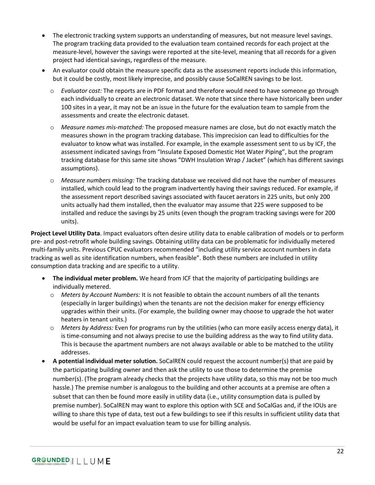- The electronic tracking system supports an understanding of measures, but not measure level savings. The program tracking data provided to the evaluation team contained records for each project at the measure-level, however the savings were reported at the site-level, meaning that all records for a given project had identical savings, regardless of the measure.
- An evaluator could obtain the measure specific data as the assessment reports include this information, but it could be costly, most likely imprecise, and possibly cause SoCalREN savings to be lost.
	- o *Evaluator cost:* The reports are in PDF format and therefore would need to have someone go through each individually to create an electronic dataset. We note that since there have historically been under 100 sites in a year, it may not be an issue in the future for the evaluation team to sample from the assessments and create the electronic dataset.
	- o *Measure names mis-matched:* The proposed measure names are close, but do not exactly match the measures shown in the program tracking database. This imprecision can lead to difficulties for the evaluator to know what was installed. For example, in the example assessment sent to us by ICF, the assessment indicated savings from "Insulate Exposed Domestic Hot Water Piping", but the program tracking database for this same site shows "DWH Insulation Wrap / Jacket" (which has different savings assumptions).
	- o *Measure numbers missing:* The tracking database we received did not have the number of measures installed, which could lead to the program inadvertently having their savings reduced. For example, if the assessment report described savings associated with faucet aerators in 225 units, but only 200 units actually had them installed, then the evaluator may assume that 225 were supposed to be installed and reduce the savings by 25 units (even though the program tracking savings were for 200 units).

**Project Level Utility Data**. Impact evaluators often desire utility data to enable calibration of models or to perform pre- and post-retrofit whole building savings. Obtaining utility data can be problematic for individually metered multi-family units. Previous CPUC evaluators recommended "including utility service account numbers in data tracking as well as site identification numbers, when feasible". Both these numbers are included in utility consumption data tracking and are specific to a utility.

- **The individual meter problem.** We heard from ICF that the majority of participating buildings are individually metered.
	- o *Meters by Account Numbers:* It is not feasible to obtain the account numbers of all the tenants (especially in larger buildings) when the tenants are not the decision maker for energy efficiency upgrades within their units. (For example, the building owner may choose to upgrade the hot water heaters in tenant units.)
	- o *Meters by Address:* Even for programs run by the utilities (who can more easily access energy data), it is time-consuming and not always precise to use the building address as the way to find utility data. This is because the apartment numbers are not always available or able to be matched to the utility addresses.
- **A potential individual meter solution.** SoCalREN could request the account number(s) that are paid by the participating building owner and then ask the utility to use those to determine the premise number(s). (The program already checks that the projects have utility data, so this may not be too much hassle.) The premise number is analogous to the building and other accounts at a premise are often a subset that can then be found more easily in utility data (i.e., utility consumption data is pulled by premise number). SoCalREN may want to explore this option with SCE and SoCalGas and, if the IOUs are willing to share this type of data, test out a few buildings to see if this results in sufficient utility data that would be useful for an impact evaluation team to use for billing analysis.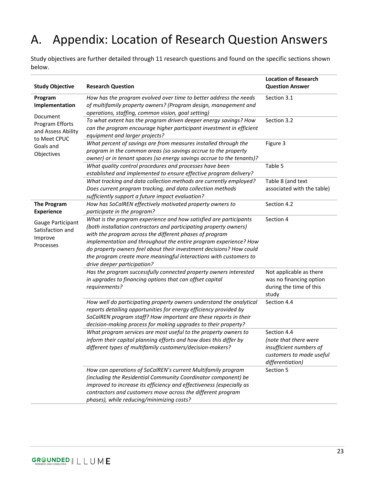## <span id="page-24-0"></span>A. Appendix: Location of Research Question Answers

Study objectives are further detailed through 11 research questions and found on the specific sections shown below.

| <b>Study Objective</b>                                                                       | <b>Research Question</b>                                                                                                                                                                                                                                                                                                                                                                                                                         | <b>Location of Research</b><br><b>Question Answer</b>                                                           |
|----------------------------------------------------------------------------------------------|--------------------------------------------------------------------------------------------------------------------------------------------------------------------------------------------------------------------------------------------------------------------------------------------------------------------------------------------------------------------------------------------------------------------------------------------------|-----------------------------------------------------------------------------------------------------------------|
| Program<br>Implementation                                                                    | How has the program evolved over time to better address the needs<br>of multifamily property owners? (Program design, management and<br>operations, staffing, common vision, goal setting)                                                                                                                                                                                                                                                       | Section 3.1                                                                                                     |
| Document<br>Program Efforts<br>and Assess Ability<br>to Meet CPUC<br>Goals and<br>Objectives | To what extent has the program driven deeper energy savings? How<br>can the program encourage higher participant investment in efficient<br>equipment and larger projects?                                                                                                                                                                                                                                                                       | Section 3.2                                                                                                     |
|                                                                                              | What percent of savings are from measures installed through the<br>program in the common areas (so savings accrue to the property<br>owner) or in tenant spaces (so energy savings accrue to the tenants)?                                                                                                                                                                                                                                       | Figure 3                                                                                                        |
|                                                                                              | What quality control procedures and processes have been<br>established and implemented to ensure effective program delivery?                                                                                                                                                                                                                                                                                                                     | Table 5                                                                                                         |
|                                                                                              | What tracking and data collection methods are currently employed?<br>Does current program tracking, and data collection methods<br>sufficiently support a future impact evaluation?                                                                                                                                                                                                                                                              | Table 8 (and text<br>associated with the table)                                                                 |
| <b>The Program</b><br><b>Experience</b>                                                      | How has SoCalREN effectively motivated property owners to<br>participate in the program?                                                                                                                                                                                                                                                                                                                                                         | Section 4.2                                                                                                     |
| Gauge Participant<br>Satisfaction and<br>Improve<br>Processes                                | What is the program experience and how satisfied are participants<br>(both installation contractors and participating property owners)<br>with the program across the different phases of program<br>implementation and throughout the entire program experience? How<br>do property owners feel about their investment decisions? How could<br>the program create more meaningful interactions with customers to<br>drive deeper participation? | Section 4                                                                                                       |
|                                                                                              | Has the program successfully connected property owners interested<br>in upgrades to financing options that can offset capital<br>requirements?                                                                                                                                                                                                                                                                                                   | Not applicable as there<br>was no financing option<br>during the time of this<br>study                          |
|                                                                                              | How well do participating property owners understand the analytical<br>reports detailing opportunities for energy efficiency provided by<br>SoCalREN program staff? How important are these reports in their<br>decision-making process for making upgrades to their property?                                                                                                                                                                   | Section 4.4                                                                                                     |
|                                                                                              | What program services are most useful to the property owners to<br>inform their capital planning efforts and how does this differ by<br>different types of multifamily customers/decision-makers?                                                                                                                                                                                                                                                | Section 4.4<br>(note that there were<br>insufficient numbers of<br>customers to made useful<br>differentiation) |
|                                                                                              | How can operations of SoCalREN's current Multifamily program<br>(including the Residential Community Coordinator component) be<br>improved to increase its efficiency and effectiveness (especially as<br>contractors and customers move across the different program<br>phases), while reducing/minimizing costs?                                                                                                                               | Section 5                                                                                                       |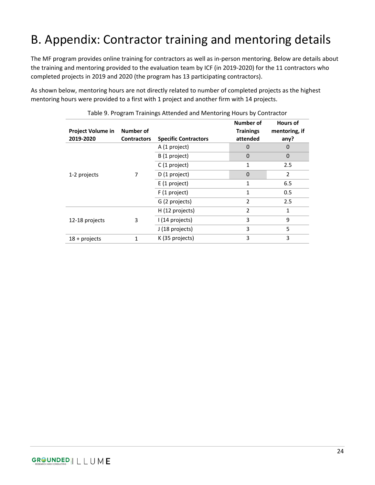# <span id="page-25-0"></span>B. Appendix: Contractor training and mentoring details

The MF program provides online training for contractors as well as in-person mentoring. Below are details about the training and mentoring provided to the evaluation team by ICF (in 2019-2020) for the 11 contractors who completed projects in 2019 and 2020 (the program has 13 participating contractors).

<span id="page-25-1"></span>As shown below, mentoring hours are not directly related to number of completed projects as the highest mentoring hours were provided to a first with 1 project and another firm with 14 projects.

| Project Volume in<br>2019-2020 | Number of<br><b>Contractors</b> | <b>Specific Contractors</b> | Number of<br><b>Trainings</b><br>attended | <b>Hours of</b><br>mentoring, if<br>any? |
|--------------------------------|---------------------------------|-----------------------------|-------------------------------------------|------------------------------------------|
| 1-2 projects                   | 7                               | A (1 project)               | $\Omega$                                  | 0                                        |
|                                |                                 | B (1 project)               | $\Omega$                                  | $\mathbf 0$                              |
|                                |                                 | C (1 project)               | $\mathbf{1}$                              | 2.5                                      |
|                                |                                 | D (1 project)               | $\mathbf{0}$                              | 2                                        |
|                                |                                 | E (1 project)               | $\mathbf{1}$                              | 6.5                                      |
|                                |                                 | F (1 project)               | $\mathbf{1}$                              | 0.5                                      |
|                                |                                 | G (2 projects)              | $\overline{2}$                            | 2.5                                      |
| 12-18 projects                 | 3                               | H (12 projects)             | $\overline{2}$                            | 1                                        |
|                                |                                 | I (14 projects)             | 3                                         | 9                                        |
|                                |                                 | J (18 projects)             | 3                                         | 5                                        |
| $18 +$ projects                | 1                               | K (35 projects)             | 3                                         | 3                                        |

Table 9. Program Trainings Attended and Mentoring Hours by Contractor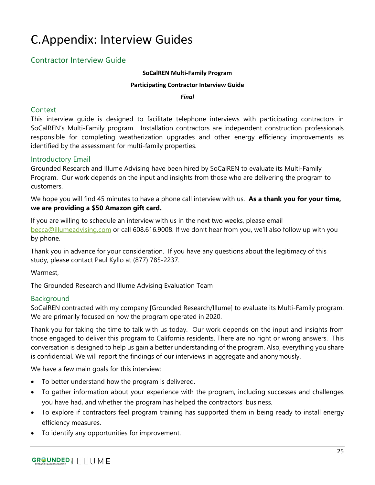## <span id="page-26-0"></span>C.Appendix: Interview Guides

## <span id="page-26-1"></span>Contractor Interview Guide

#### **SoCalREN Multi-Family Program**

#### **Participating Contractor Interview Guide**

*Final*

## **Context**

This interview guide is designed to facilitate telephone interviews with participating contractors in SoCalREN's Multi-Family program. Installation contractors are independent construction professionals responsible for completing weatherization upgrades and other energy efficiency improvements as identified by the assessment for multi-family properties.

## Introductory Email

Grounded Research and Illume Advising have been hired by SoCalREN to evaluate its Multi-Family Program. Our work depends on the input and insights from those who are delivering the program to customers.

We hope you will find 45 minutes to have a phone call interview with us. **As a thank you for your time, we are providing a \$50 Amazon gift card.** 

If you are willing to schedule an interview with us in the next two weeks, please email [becca@illumeadvising.com](mailto:becca@illumeadvising.com) or call 608.616.9008. If we don't hear from you, we'll also follow up with you by phone.

Thank you in advance for your consideration. If you have any questions about the legitimacy of this study, please contact Paul Kyllo at (877) 785-2237.

Warmest,

The Grounded Research and Illume Advising Evaluation Team

## Background

SoCalREN contracted with my company [Grounded Research/Illume] to evaluate its Multi-Family program. We are primarily focused on how the program operated in 2020.

Thank you for taking the time to talk with us today. Our work depends on the input and insights from those engaged to deliver this program to California residents. There are no right or wrong answers. This conversation is designed to help us gain a better understanding of the program. Also, everything you share is confidential. We will report the findings of our interviews in aggregate and anonymously.

We have a few main goals for this interview:

- To better understand how the program is delivered.
- To gather information about your experience with the program, including successes and challenges you have had, and whether the program has helped the contractors' business.
- To explore if contractors feel program training has supported them in being ready to install energy efficiency measures.
- To identify any opportunities for improvement.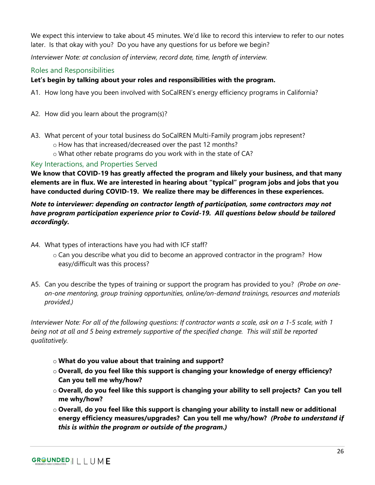We expect this interview to take about 45 minutes. We'd like to record this interview to refer to our notes later. Is that okay with you? Do you have any questions for us before we begin?

*Interviewer Note: at conclusion of interview, record date, time, length of interview.*

## Roles and Responsibilities

## **Let's begin by talking about your roles and responsibilities with the program.**

- A1. How long have you been involved with SoCalREN's energy efficiency programs in California?
- A2. How did you learn about the program(s)?
- A3. What percent of your total business do SoCalREN Multi-Family program jobs represent?
	- o How has that increased/decreased over the past 12 months?
	- o What other rebate programs do you work with in the state of CA?

## Key Interactions, and Properties Served

**We know that COVID-19 has greatly affected the program and likely your business, and that many elements are in flux. We are interested in hearing about "typical" program jobs and jobs that you have conducted during COVID-19. We realize there may be differences in these experiences.**

## *Note to interviewer: depending on contractor length of participation, some contractors may not have program participation experience prior to Covid-19. All questions below should be tailored accordingly.*

- A4. What types of interactions have you had with ICF staff?
	- o Can you describe what you did to become an approved contractor in the program? How easy/difficult was this process?
- A5. Can you describe the types of training or support the program has provided to you? *(Probe on oneon-one mentoring, group training opportunities, online/on-demand trainings, resources and materials provided.)*

*Interviewer Note: For all of the following questions: If contractor wants a scale, ask on a 1-5 scale, with 1 being not at all and 5 being extremely supportive of the specified change. This will still be reported qualitatively.*

- o **What do you value about that training and support?**
- o **Overall, do you feel like this support is changing your knowledge of energy efficiency? Can you tell me why/how?**
- o **Overall, do you feel like this support is changing your ability to sell projects? Can you tell me why/how?**
- o **Overall, do you feel like this support is changing your ability to install new or additional energy efficiency measures/upgrades? Can you tell me why/how?** *(Probe to understand if this is within the program or outside of the program.)*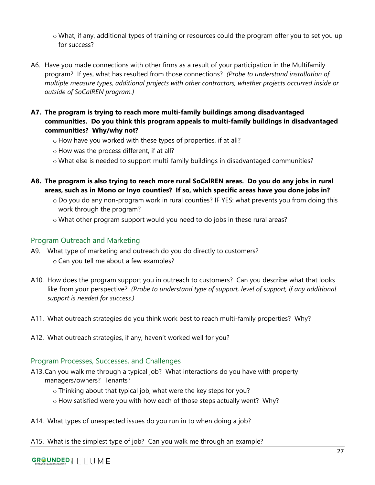o What, if any, additional types of training or resources could the program offer you to set you up for success?

- A6. Have you made connections with other firms as a result of your participation in the Multifamily program? If yes, what has resulted from those connections? *(Probe to understand installation of multiple measure types, additional projects with other contractors, whether projects occurred inside or outside of SoCalREN program.)*
- **A7. The program is trying to reach more multi-family buildings among disadvantaged communities. Do you think this program appeals to multi-family buildings in disadvantaged communities? Why/why not?**
	- o How have you worked with these types of properties, if at all?
	- o How was the process different, if at all?
	- o What else is needed to support multi-family buildings in disadvantaged communities?
- **A8. The program is also trying to reach more rural SoCalREN areas. Do you do any jobs in rural areas, such as in Mono or Inyo counties? If so, which specific areas have you done jobs in?**
	- o Do you do any non-program work in rural counties? IF YES: what prevents you from doing this work through the program?
	- $\circ$  What other program support would you need to do jobs in these rural areas?

## Program Outreach and Marketing

- A9. What type of marketing and outreach do you do directly to customers? o Can you tell me about a few examples?
- A10. How does the program support you in outreach to customers? Can you describe what that looks like from your perspective? *(Probe to understand type of support, level of support, if any additional support is needed for success.)*
- A11. What outreach strategies do you think work best to reach multi-family properties? Why?
- A12. What outreach strategies, if any, haven't worked well for you?

## Program Processes, Successes, and Challenges

- A13.Can you walk me through a typical job? What interactions do you have with property managers/owners? Tenants?
	- o Thinking about that typical job, what were the key steps for you?
	- o How satisfied were you with how each of those steps actually went? Why?
- A14. What types of unexpected issues do you run in to when doing a job?
- A15. What is the simplest type of job? Can you walk me through an example?

## GROUNDED | LLUME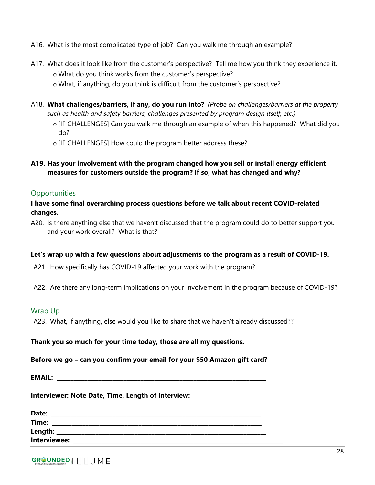- A16. What is the most complicated type of job? Can you walk me through an example?
- A17. What does it look like from the customer's perspective? Tell me how you think they experience it. o What do you think works from the customer's perspective?
	- o What, if anything, do you think is difficult from the customer's perspective?
- A18. **What challenges/barriers, if any, do you run into?** *(Probe on challenges/barriers at the property such as health and safety barriers, challenges presented by program design itself, etc.)*
	- o [IF CHALLENGES] Can you walk me through an example of when this happened? What did you do?
	- o [IF CHALLENGES] How could the program better address these?
- **A19. Has your involvement with the program changed how you sell or install energy efficient measures for customers outside the program? If so, what has changed and why?**

#### **Opportunities**

#### **I have some final overarching process questions before we talk about recent COVID-related changes.**

A20. Is there anything else that we haven't discussed that the program could do to better support you and your work overall? What is that?

#### **Let's wrap up with a few questions about adjustments to the program as a result of COVID-19.**

- A21. How specifically has COVID-19 affected your work with the program?
- A22. Are there any long-term implications on your involvement in the program because of COVID-19?

#### Wrap Up

A23. What, if anything, else would you like to share that we haven't already discussed??

#### **Thank you so much for your time today, those are all my questions.**

#### **Before we go – can you confirm your email for your \$50 Amazon gift card?**

**EMAIL:**  $\blacksquare$ 

#### **Interviewer: Note Date, Time, Length of Interview:**

| Date:        |  |
|--------------|--|
| Time:        |  |
| Length:      |  |
| Interviewee: |  |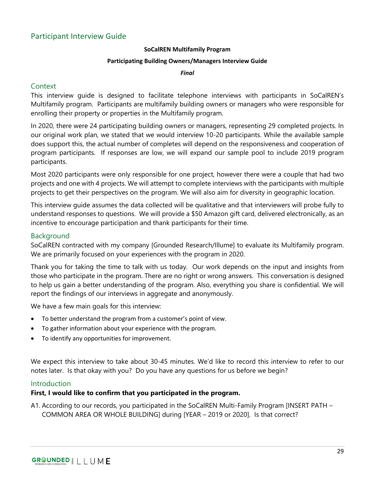#### **SoCalREN Multifamily Program**

#### **Participating Building Owners/Managers Interview Guide**

#### *Final*

#### <span id="page-30-0"></span>Context

This interview guide is designed to facilitate telephone interviews with participants in SoCalREN's Multifamily program. Participants are multifamily building owners or managers who were responsible for enrolling their property or properties in the Multifamily program.

In 2020, there were 24 participating building owners or managers, representing 29 completed projects. In our original work plan, we stated that we would interview 10-20 participants. While the available sample does support this, the actual number of completes will depend on the responsiveness and cooperation of program participants. If responses are low, we will expand our sample pool to include 2019 program participants.

Most 2020 participants were only responsible for one project, however there were a couple that had two projects and one with 4 projects. We will attempt to complete interviews with the participants with multiple projects to get their perspectives on the program. We will also aim for diversity in geographic location.

This interview guide assumes the data collected will be qualitative and that interviewers will probe fully to understand responses to questions. We will provide a \$50 Amazon gift card, delivered electronically, as an incentive to encourage participation and thank participants for their time.

#### Background

SoCalREN contracted with my company [Grounded Research/Illume] to evaluate its Multifamily program. We are primarily focused on your experiences with the program in 2020.

Thank you for taking the time to talk with us today. Our work depends on the input and insights from those who participate in the program. There are no right or wrong answers. This conversation is designed to help us gain a better understanding of the program. Also, everything you share is confidential. We will report the findings of our interviews in aggregate and anonymously.

We have a few main goals for this interview:

- To better understand the program from a customer's point of view.
- To gather information about your experience with the program.
- To identify any opportunities for improvement.

We expect this interview to take about 30-45 minutes. We'd like to record this interview to refer to our notes later. Is that okay with you? Do you have any questions for us before we begin?

#### **Introduction**

#### **First, I would like to confirm that you participated in the program.**

A1. According to our records, you participated in the SoCalREN Multi-Family Program [INSERT PATH – COMMON AREA OR WHOLE BUILDING] during [YEAR – 2019 or 2020]. Is that correct?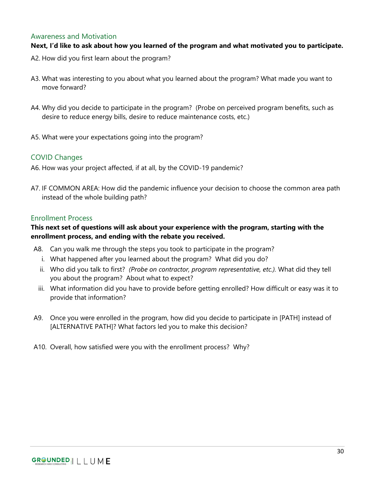#### Awareness and Motivation

## **Next, I'd like to ask about how you learned of the program and what motivated you to participate.**

- A2. How did you first learn about the program?
- A3. What was interesting to you about what you learned about the program? What made you want to move forward?
- A4. Why did you decide to participate in the program? (Probe on perceived program benefits, such as desire to reduce energy bills, desire to reduce maintenance costs, etc.)
- A5. What were your expectations going into the program?

## COVID Changes

- A6. How was your project affected, if at all, by the COVID-19 pandemic?
- A7. IF COMMON AREA: How did the pandemic influence your decision to choose the common area path instead of the whole building path?

#### Enrollment Process

### **This next set of questions will ask about your experience with the program, starting with the enrollment process, and ending with the rebate you received.**

- A8. Can you walk me through the steps you took to participate in the program?
	- i. What happened after you learned about the program? What did you do?
	- ii. Who did you talk to first? *(Probe on contractor, program representative, etc.).* What did they tell you about the program? About what to expect?
	- iii. What information did you have to provide before getting enrolled? How difficult or easy was it to provide that information?
- A9. Once you were enrolled in the program, how did you decide to participate in [PATH] instead of [ALTERNATIVE PATH]? What factors led you to make this decision?
- A10. Overall, how satisfied were you with the enrollment process? Why?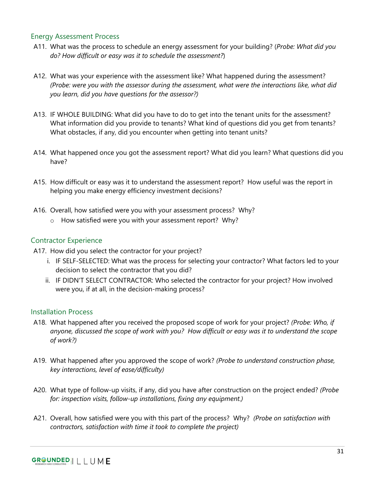#### Energy Assessment Process

- A11. What was the process to schedule an energy assessment for your building? (*Probe: What did you do? How difficult or easy was it to schedule the assessment?*)
- A12. What was your experience with the assessment like? What happened during the assessment? *(Probe: were you with the assessor during the assessment, what were the interactions like, what did you learn, did you have questions for the assessor?)*
- A13. IF WHOLE BUILDING: What did you have to do to get into the tenant units for the assessment? What information did you provide to tenants? What kind of questions did you get from tenants? What obstacles, if any, did you encounter when getting into tenant units?
- A14. What happened once you got the assessment report? What did you learn? What questions did you have?
- A15. How difficult or easy was it to understand the assessment report? How useful was the report in helping you make energy efficiency investment decisions?
- A16. Overall, how satisfied were you with your assessment process? Why?
	- o How satisfied were you with your assessment report? Why?

## Contractor Experience

- A17. How did you select the contractor for your project?
	- i. IF SELF-SELECTED: What was the process for selecting your contractor? What factors led to your decision to select the contractor that you did?
	- ii. IF DIDN'T SELECT CONTRACTOR: Who selected the contractor for your project? How involved were you, if at all, in the decision-making process?

## Installation Process

- A18. What happened after you received the proposed scope of work for your project? *(Probe: Who, if anyone, discussed the scope of work with you? How difficult or easy was it to understand the scope of work?)*
- A19. What happened after you approved the scope of work? *(Probe to understand construction phase, key interactions, level of ease/difficulty)*
- A20. What type of follow-up visits, if any, did you have after construction on the project ended? *(Probe for: inspection visits, follow-up installations, fixing any equipment.)*
- A21. Overall, how satisfied were you with this part of the process? Why? *(Probe on satisfaction with contractors, satisfaction with time it took to complete the project)*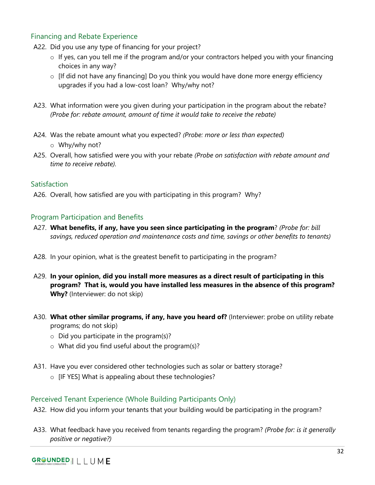## Financing and Rebate Experience

- A22. Did you use any type of financing for your project?
	- o If yes, can you tell me if the program and/or your contractors helped you with your financing choices in any way?
	- o [If did not have any financing] Do you think you would have done more energy efficiency upgrades if you had a low-cost loan? Why/why not?
- A23. What information were you given during your participation in the program about the rebate? *(Probe for: rebate amount, amount of time it would take to receive the rebate)*
- A24. Was the rebate amount what you expected? *(Probe: more or less than expected)* o Why/why not?
- A25. Overall, how satisfied were you with your rebate *(Probe on satisfaction with rebate amount and time to receive rebate).*

## Satisfaction

A26. Overall, how satisfied are you with participating in this program? Why?

## Program Participation and Benefits

- A27. **What benefits, if any, have you seen since participating in the program**? *(Probe for: bill savings, reduced operation and maintenance costs and time, savings or other benefits to tenants)*
- A28. In your opinion, what is the greatest benefit to participating in the program?
- A29. **In your opinion, did you install more measures as a direct result of participating in this program? That is, would you have installed less measures in the absence of this program? Why?** (Interviewer: do not skip)
- A30. **What other similar programs, if any, have you heard of?** (Interviewer: probe on utility rebate programs; do not skip)
	- $\circ$  Did you participate in the program(s)?
	- o What did you find useful about the program(s)?
- A31. Have you ever considered other technologies such as solar or battery storage?
	- o [IF YES] What is appealing about these technologies?

## Perceived Tenant Experience (Whole Building Participants Only)

- A32. How did you inform your tenants that your building would be participating in the program?
- A33. What feedback have you received from tenants regarding the program? *(Probe for: is it generally positive or negative?)*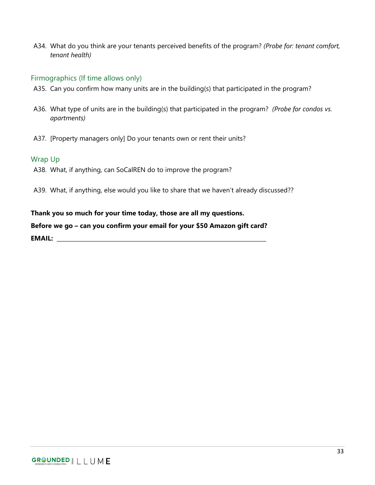A34. What do you think are your tenants perceived benefits of the program? *(Probe for: tenant comfort, tenant health)*

#### Firmographics (If time allows only)

- A35. Can you confirm how many units are in the building(s) that participated in the program?
- A36. What type of units are in the building(s) that participated in the program? *(Probe for condos vs. apartments)*
- A37. [Property managers only] Do your tenants own or rent their units?

#### Wrap Up

- A38. What, if anything, can SoCalREN do to improve the program?
- A39. What, if anything, else would you like to share that we haven't already discussed??

#### **Thank you so much for your time today, those are all my questions.**

#### **Before we go – can you confirm your email for your \$50 Amazon gift card?**

**EMAIL: \_\_\_\_\_\_\_\_\_\_\_\_\_\_\_\_\_\_\_\_\_\_\_\_\_\_\_\_\_\_\_\_\_\_\_\_\_\_\_\_\_\_\_\_\_\_\_\_\_\_\_\_\_\_\_\_\_\_\_\_\_\_\_\_\_\_\_\_\_\_\_\_\_\_\_**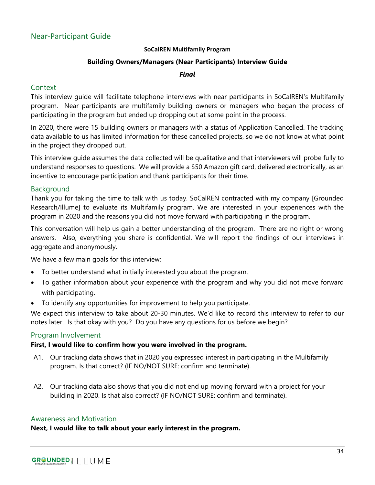#### **SoCalREN Multifamily Program**

#### **Building Owners/Managers (Near Participants) Interview Guide**

#### *Final*

### <span id="page-35-0"></span>**Context**

This interview guide will facilitate telephone interviews with near participants in SoCalREN's Multifamily program. Near participants are multifamily building owners or managers who began the process of participating in the program but ended up dropping out at some point in the process.

In 2020, there were 15 building owners or managers with a status of Application Cancelled. The tracking data available to us has limited information for these cancelled projects, so we do not know at what point in the project they dropped out.

This interview guide assumes the data collected will be qualitative and that interviewers will probe fully to understand responses to questions. We will provide a \$50 Amazon gift card, delivered electronically, as an incentive to encourage participation and thank participants for their time.

#### Background

Thank you for taking the time to talk with us today. SoCalREN contracted with my company [Grounded Research/Illume] to evaluate its Multifamily program. We are interested in your experiences with the program in 2020 and the reasons you did not move forward with participating in the program.

This conversation will help us gain a better understanding of the program. There are no right or wrong answers. Also, everything you share is confidential. We will report the findings of our interviews in aggregate and anonymously.

We have a few main goals for this interview:

- To better understand what initially interested you about the program.
- To gather information about your experience with the program and why you did not move forward with participating.
- To identify any opportunities for improvement to help you participate.

We expect this interview to take about 20-30 minutes. We'd like to record this interview to refer to our notes later. Is that okay with you? Do you have any questions for us before we begin?

#### Program Involvement

#### **First, I would like to confirm how you were involved in the program.**

- A1. Our tracking data shows that in 2020 you expressed interest in participating in the Multifamily program. Is that correct? (IF NO/NOT SURE: confirm and terminate).
- A2. Our tracking data also shows that you did not end up moving forward with a project for your building in 2020. Is that also correct? (IF NO/NOT SURE: confirm and terminate).

#### Awareness and Motivation

**Next, I would like to talk about your early interest in the program.**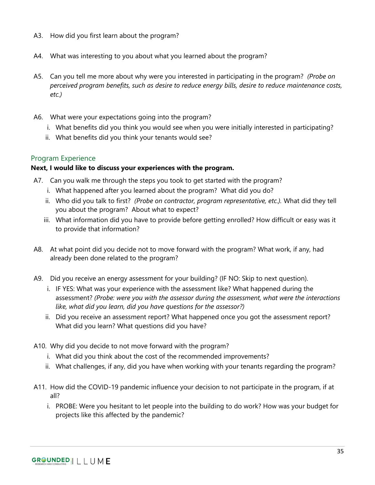- A3. How did you first learn about the program?
- A4. What was interesting to you about what you learned about the program?
- A5. Can you tell me more about why were you interested in participating in the program? *(Probe on perceived program benefits, such as desire to reduce energy bills, desire to reduce maintenance costs, etc.)*
- A6. What were your expectations going into the program?
	- i. What benefits did you think you would see when you were initially interested in participating?
	- ii. What benefits did you think your tenants would see?

## Program Experience

#### **Next, I would like to discuss your experiences with the program.**

- A7. Can you walk me through the steps you took to get started with the program?
	- i. What happened after you learned about the program? What did you do?
	- ii. Who did you talk to first? *(Probe on contractor, program representative, etc.).* What did they tell you about the program? About what to expect?
	- iii. What information did you have to provide before getting enrolled? How difficult or easy was it to provide that information?
- A8. At what point did you decide not to move forward with the program? What work, if any, had already been done related to the program?
- A9. Did you receive an energy assessment for your building? (IF NO: Skip to next question).
	- i. IF YES: What was your experience with the assessment like? What happened during the assessment? *(Probe: were you with the assessor during the assessment, what were the interactions like, what did you learn, did you have questions for the assessor?)*
	- ii. Did you receive an assessment report? What happened once you got the assessment report? What did you learn? What questions did you have?
- A10. Why did you decide to not move forward with the program?
	- i. What did you think about the cost of the recommended improvements?
	- ii. What challenges, if any, did you have when working with your tenants regarding the program?
- A11. How did the COVID-19 pandemic influence your decision to not participate in the program, if at all?
	- i. PROBE: Were you hesitant to let people into the building to do work? How was your budget for projects like this affected by the pandemic?